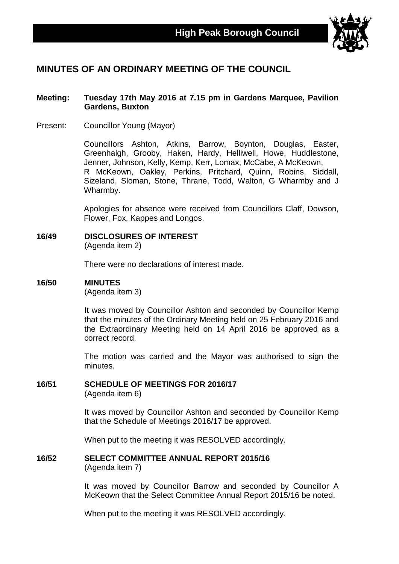

# **MINUTES OF AN ORDINARY MEETING OF THE COUNCIL**

#### **Meeting: Tuesday 17th May 2016 at 7.15 pm in Gardens Marquee, Pavilion Gardens, Buxton**

Present: Councillor Young (Mayor)

Councillors Ashton, Atkins, Barrow, Boynton, Douglas, Easter, Greenhalgh, Grooby, Haken, Hardy, Helliwell, Howe, Huddlestone, Jenner, Johnson, Kelly, Kemp, Kerr, Lomax, McCabe, A McKeown, R McKeown, Oakley, Perkins, Pritchard, Quinn, Robins, Siddall, Sizeland, Sloman, Stone, Thrane, Todd, Walton, G Wharmby and J Wharmby.

Apologies for absence were received from Councillors Claff, Dowson, Flower, Fox, Kappes and Longos.

#### **16/49 DISCLOSURES OF INTEREST**

(Agenda item 2)

There were no declarations of interest made.

#### **16/50 MINUTES**

(Agenda item 3)

It was moved by Councillor Ashton and seconded by Councillor Kemp that the minutes of the Ordinary Meeting held on 25 February 2016 and the Extraordinary Meeting held on 14 April 2016 be approved as a correct record.

The motion was carried and the Mayor was authorised to sign the minutes.

## **16/51 SCHEDULE OF MEETINGS FOR 2016/17**

(Agenda item 6)

It was moved by Councillor Ashton and seconded by Councillor Kemp that the Schedule of Meetings 2016/17 be approved.

When put to the meeting it was RESOLVED accordingly.

#### **16/52 SELECT COMMITTEE ANNUAL REPORT 2015/16** (Agenda item 7)

It was moved by Councillor Barrow and seconded by Councillor A McKeown that the Select Committee Annual Report 2015/16 be noted.

When put to the meeting it was RESOLVED accordingly.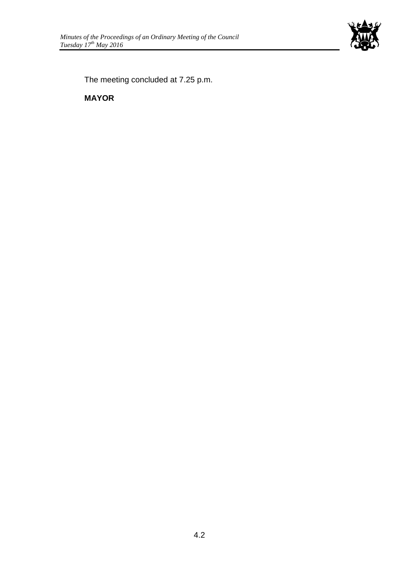

The meeting concluded at 7.25 p.m.

**MAYOR**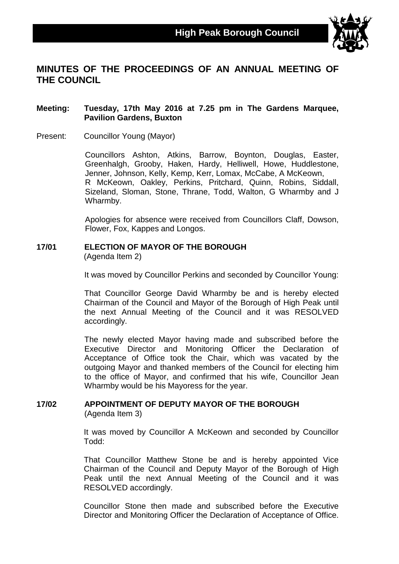

# **MINUTES OF THE PROCEEDINGS OF AN ANNUAL MEETING OF THE COUNCIL**

#### **Meeting: Tuesday, 17th May 2016 at 7.25 pm in The Gardens Marquee, Pavilion Gardens, Buxton**

Present: Councillor Young (Mayor)

Councillors Ashton, Atkins, Barrow, Boynton, Douglas, Easter, Greenhalgh, Grooby, Haken, Hardy, Helliwell, Howe, Huddlestone, Jenner, Johnson, Kelly, Kemp, Kerr, Lomax, McCabe, A McKeown, R McKeown, Oakley, Perkins, Pritchard, Quinn, Robins, Siddall, Sizeland, Sloman, Stone, Thrane, Todd, Walton, G Wharmby and J Wharmby.

Apologies for absence were received from Councillors Claff, Dowson, Flower, Fox, Kappes and Longos.

# **17/01 ELECTION OF MAYOR OF THE BOROUGH**

(Agenda Item 2)

It was moved by Councillor Perkins and seconded by Councillor Young:

That Councillor George David Wharmby be and is hereby elected Chairman of the Council and Mayor of the Borough of High Peak until the next Annual Meeting of the Council and it was RESOLVED accordingly.

The newly elected Mayor having made and subscribed before the Executive Director and Monitoring Officer the Declaration of Acceptance of Office took the Chair, which was vacated by the outgoing Mayor and thanked members of the Council for electing him to the office of Mayor, and confirmed that his wife, Councillor Jean Wharmby would be his Mayoress for the year.

# **17/02 APPOINTMENT OF DEPUTY MAYOR OF THE BOROUGH**

(Agenda Item 3)

It was moved by Councillor A McKeown and seconded by Councillor Todd:

That Councillor Matthew Stone be and is hereby appointed Vice Chairman of the Council and Deputy Mayor of the Borough of High Peak until the next Annual Meeting of the Council and it was RESOLVED accordingly.

Councillor Stone then made and subscribed before the Executive Director and Monitoring Officer the Declaration of Acceptance of Office.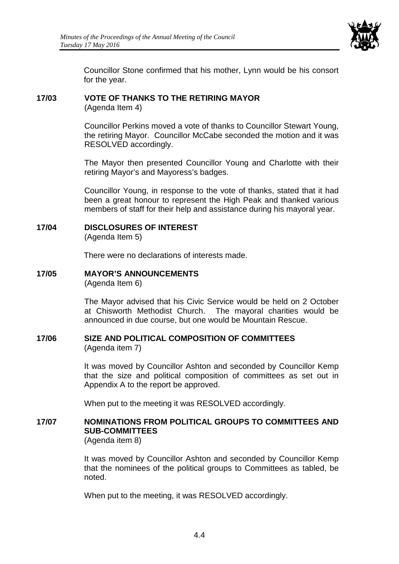

Councillor Stone confirmed that his mother, Lynn would be his consort for the year.

### **17/03 VOTE OF THANKS TO THE RETIRING MAYOR**

(Agenda Item 4)

Councillor Perkins moved a vote of thanks to Councillor Stewart Young, the retiring Mayor. Councillor McCabe seconded the motion and it was RESOLVED accordingly.

The Mayor then presented Councillor Young and Charlotte with their retiring Mayor's and Mayoress's badges.

Councillor Young, in response to the vote of thanks, stated that it had been a great honour to represent the High Peak and thanked various members of staff for their help and assistance during his mayoral year.

### **17/04 DISCLOSURES OF INTEREST**

(Agenda Item 5)

There were no declarations of interests made.

#### **17/05 MAYOR'S ANNOUNCEMENTS**

(Agenda Item 6)

The Mayor advised that his Civic Service would be held on 2 October at Chisworth Methodist Church. The mayoral charities would be announced in due course, but one would be Mountain Rescue.

#### **17/06 SIZE AND POLITICAL COMPOSITION OF COMMITTEES** (Agenda item 7)

It was moved by Councillor Ashton and seconded by Councillor Kemp that the size and political composition of committees as set out in Appendix A to the report be approved.

When put to the meeting it was RESOLVED accordingly.

#### **17/07 NOMINATIONS FROM POLITICAL GROUPS TO COMMITTEES AND SUB-COMMITTEES** (Agenda item 8)

It was moved by Councillor Ashton and seconded by Councillor Kemp that the nominees of the political groups to Committees as tabled, be noted.

When put to the meeting, it was RESOLVED accordingly.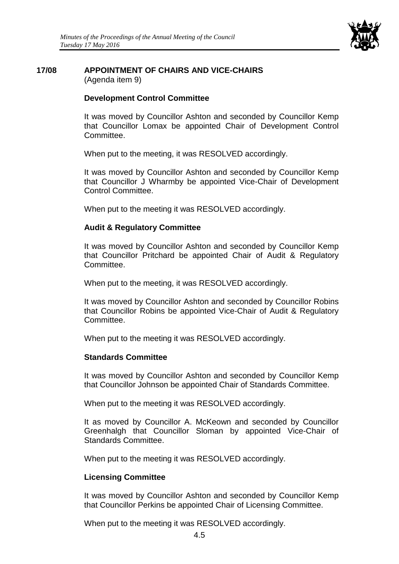

# **17/08 APPOINTMENT OF CHAIRS AND VICE-CHAIRS**

(Agenda item 9)

## **Development Control Committee**

It was moved by Councillor Ashton and seconded by Councillor Kemp that Councillor Lomax be appointed Chair of Development Control Committee.

When put to the meeting, it was RESOLVED accordingly.

It was moved by Councillor Ashton and seconded by Councillor Kemp that Councillor J Wharmby be appointed Vice-Chair of Development Control Committee.

When put to the meeting it was RESOLVED accordingly.

# **Audit & Regulatory Committee**

It was moved by Councillor Ashton and seconded by Councillor Kemp that Councillor Pritchard be appointed Chair of Audit & Regulatory Committee.

When put to the meeting, it was RESOLVED accordingly.

It was moved by Councillor Ashton and seconded by Councillor Robins that Councillor Robins be appointed Vice-Chair of Audit & Regulatory Committee.

When put to the meeting it was RESOLVED accordingly.

## **Standards Committee**

It was moved by Councillor Ashton and seconded by Councillor Kemp that Councillor Johnson be appointed Chair of Standards Committee.

When put to the meeting it was RESOLVED accordingly.

It as moved by Councillor A. McKeown and seconded by Councillor Greenhalgh that Councillor Sloman by appointed Vice-Chair of Standards Committee.

When put to the meeting it was RESOLVED accordingly.

# **Licensing Committee**

It was moved by Councillor Ashton and seconded by Councillor Kemp that Councillor Perkins be appointed Chair of Licensing Committee.

When put to the meeting it was RESOLVED accordingly.